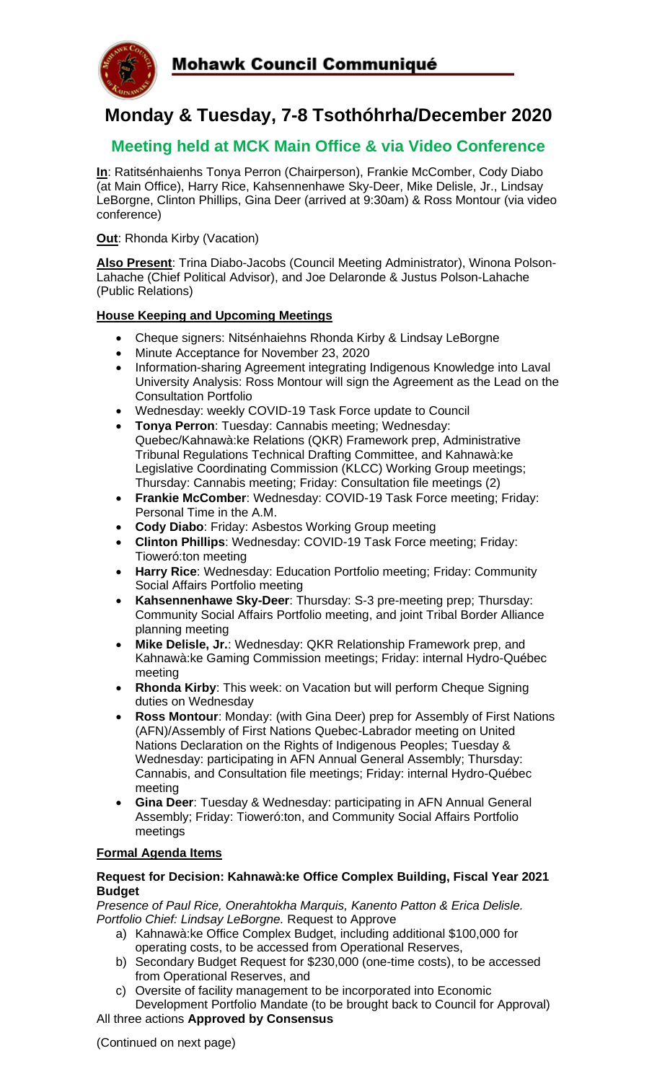

## **Monday & Tuesday, 7-8 Tsothóhrha/December 2020**

### **Meeting held at MCK Main Office & via Video Conference**

**In**: Ratitsénhaienhs Tonya Perron (Chairperson), Frankie McComber, Cody Diabo (at Main Office), Harry Rice, Kahsennenhawe Sky-Deer, Mike Delisle, Jr., Lindsay LeBorgne, Clinton Phillips, Gina Deer (arrived at 9:30am) & Ross Montour (via video conference)

**Out:** Rhonda Kirby (Vacation)

**Also Present**: Trina Diabo-Jacobs (Council Meeting Administrator), Winona Polson-Lahache (Chief Political Advisor), and Joe Delaronde & Justus Polson-Lahache (Public Relations)

#### **House Keeping and Upcoming Meetings**

- Cheque signers: Nitsénhaiehns Rhonda Kirby & Lindsay LeBorgne
- Minute Acceptance for November 23, 2020
- Information-sharing Agreement integrating Indigenous Knowledge into Laval University Analysis: Ross Montour will sign the Agreement as the Lead on the Consultation Portfolio
- Wednesday: weekly COVID-19 Task Force update to Council
- **Tonya Perron**: Tuesday: Cannabis meeting; Wednesday: Quebec/Kahnawà:ke Relations (QKR) Framework prep, Administrative Tribunal Regulations Technical Drafting Committee, and Kahnawà:ke Legislative Coordinating Commission (KLCC) Working Group meetings; Thursday: Cannabis meeting; Friday: Consultation file meetings (2)
- **Frankie McComber**: Wednesday: COVID-19 Task Force meeting; Friday: Personal Time in the A.M.
- **Cody Diabo**: Friday: Asbestos Working Group meeting
- **Clinton Phillips**: Wednesday: COVID-19 Task Force meeting; Friday: Tioweró:ton meeting
- **Harry Rice**: Wednesday: Education Portfolio meeting; Friday: Community Social Affairs Portfolio meeting
- **Kahsennenhawe Sky-Deer**: Thursday: S-3 pre-meeting prep; Thursday: Community Social Affairs Portfolio meeting, and joint Tribal Border Alliance planning meeting
- **Mike Delisle, Jr.**: Wednesday: QKR Relationship Framework prep, and Kahnawà:ke Gaming Commission meetings; Friday: internal Hydro-Québec meeting
- **Rhonda Kirby**: This week: on Vacation but will perform Cheque Signing duties on Wednesday
- **Ross Montour**: Monday: (with Gina Deer) prep for Assembly of First Nations (AFN)/Assembly of First Nations Quebec-Labrador meeting on United Nations Declaration on the Rights of Indigenous Peoples; Tuesday & Wednesday: participating in AFN Annual General Assembly; Thursday: Cannabis, and Consultation file meetings; Friday: internal Hydro-Québec meeting
- **Gina Deer**: Tuesday & Wednesday: participating in AFN Annual General Assembly; Friday: Tioweró:ton, and Community Social Affairs Portfolio meetings

#### **Formal Agenda Items**

#### **Request for Decision: Kahnawà:ke Office Complex Building, Fiscal Year 2021 Budget**

*Presence of Paul Rice, Onerahtokha Marquis, Kanento Patton & Erica Delisle. Portfolio Chief: Lindsay LeBorgne.* Request to Approve

- a) Kahnawà:ke Office Complex Budget, including additional \$100,000 for operating costs, to be accessed from Operational Reserves,
- b) Secondary Budget Request for \$230,000 (one-time costs), to be accessed from Operational Reserves, and
- c) Oversite of facility management to be incorporated into Economic Development Portfolio Mandate (to be brought back to Council for Approval) All three actions **Approved by Consensus**